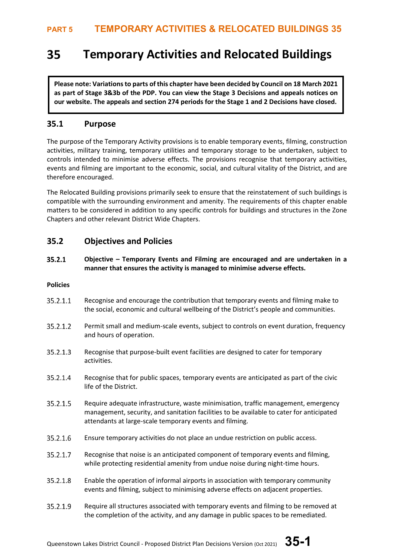### **Temporary Activities and Relocated Buildings** 35

**Please note: Variations to parts of this chapter have been decided by Council on 18 March 2021 as part of Stage 3&3b of the PDP. You can view the Stage 3 Decisions and appeals notices on our website. The appeals and section 274 periods for the Stage 1 and 2 Decisions have closed.**

## **35.1 Purpose**

The purpose of the Temporary Activity provisions is to enable temporary events, filming, construction activities, military training, temporary utilities and temporary storage to be undertaken, subject to controls intended to minimise adverse effects. The provisions recognise that temporary activities, events and filming are important to the economic, social, and cultural vitality of the District, and are therefore encouraged.

The Relocated Building provisions primarily seek to ensure that the reinstatement of such buildings is compatible with the surrounding environment and amenity. The requirements of this chapter enable matters to be considered in addition to any specific controls for buildings and structures in the Zone Chapters and other relevant District Wide Chapters.

## **35.2 Objectives and Policies**

 $35.2.1$ **Objective – Temporary Events and Filming are encouraged and are undertaken in a manner that ensures the activity is managed to minimise adverse effects.** 

### **Policies**

- 35.2.1.1 Recognise and encourage the contribution that temporary events and filming make to the social, economic and cultural wellbeing of the District's people and communities.
- 35.2.1.2 Permit small and medium-scale events, subject to controls on event duration, frequency and hours of operation.
- 35.2.1.3 Recognise that purpose-built event facilities are designed to cater for temporary activities.
- 35.2.1.4 Recognise that for public spaces, temporary events are anticipated as part of the civic life of the District.
- 35.2.1.5 Require adequate infrastructure, waste minimisation, traffic management, emergency management, security, and sanitation facilities to be available to cater for anticipated attendants at large-scale temporary events and filming.
- 35.2.1.6 Ensure temporary activities do not place an undue restriction on public access.
- 35.2.1.7 Recognise that noise is an anticipated component of temporary events and filming, while protecting residential amenity from undue noise during night-time hours.
- 35.2.1.8 Enable the operation of informal airports in association with temporary community events and filming, subject to minimising adverse effects on adjacent properties.
- 35.2.1.9 Require all structures associated with temporary events and filming to be removed at the completion of the activity, and any damage in public spaces to be remediated.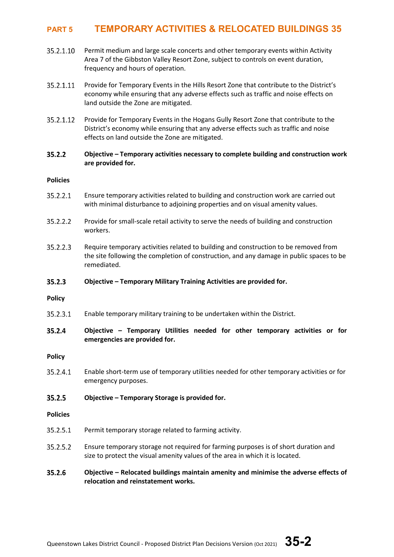- 35.2.1.10 Permit medium and large scale concerts and other temporary events within Activity Area 7 of the Gibbston Valley Resort Zone, subject to controls on event duration, frequency and hours of operation.
- 35.2.1.11 Provide for Temporary Events in the Hills Resort Zone that contribute to the District's economy while ensuring that any adverse effects such as traffic and noise effects on land outside the Zone are mitigated.
- 35.2.1.12 Provide for Temporary Events in the Hogans Gully Resort Zone that contribute to the District's economy while ensuring that any adverse effects such as traffic and noise effects on land outside the Zone are mitigated.

#### $35.2.2$ **Objective – Temporary activities necessary to complete building and construction work are provided for.**

### **Policies**

- 35.2.2.1 Ensure temporary activities related to building and construction work are carried out with minimal disturbance to adjoining properties and on visual amenity values.
- Provide for small-scale retail activity to serve the needs of building and construction 35.2.2.2 workers.
- 35.2.2.3 Require temporary activities related to building and construction to be removed from the site following the completion of construction, and any damage in public spaces to be remediated.

#### $35.2.3$ **Objective – Temporary Military Training Activities are provided for.**

**Policy**

35.2.3.1 Enable temporary military training to be undertaken within the District.

#### 35.2.4 **Objective – Temporary Utilities needed for other temporary activities or for emergencies are provided for.**

**Policy**

35.2.4.1 Enable short-term use of temporary utilities needed for other temporary activities or for emergency purposes.

#### 35.2.5 **Objective – Temporary Storage is provided for.**

**Policies**

- 35.2.5.1 Permit temporary storage related to farming activity.
- 35.2.5.2 Ensure temporary storage not required for farming purposes is of short duration and size to protect the visual amenity values of the area in which it is located.

#### 35.2.6 **Objective – Relocated buildings maintain amenity and minimise the adverse effects of relocation and reinstatement works.**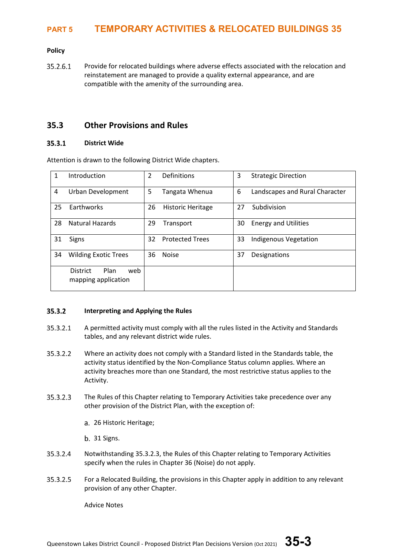### **Policy**

35.2.6.1 Provide for relocated buildings where adverse effects associated with the relocation and reinstatement are managed to provide a quality external appearance, and are compatible with the amenity of the surrounding area.

### **35.3 Other Provisions and Rules**

#### $35.3.1$ **District Wide**

Attention is drawn to the following District Wide chapters.

| 1  | Introduction                                          |    | 2<br>Definitions               |    | <b>Strategic Direction</b>     |  |
|----|-------------------------------------------------------|----|--------------------------------|----|--------------------------------|--|
| 4  | Urban Development                                     |    | 5<br>Tangata Whenua            |    | Landscapes and Rural Character |  |
| 25 | Earthworks                                            |    | 26<br><b>Historic Heritage</b> |    | Subdivision                    |  |
| 28 | <b>Natural Hazards</b>                                |    | 29<br>Transport                |    | <b>Energy and Utilities</b>    |  |
| 31 | Signs                                                 |    | <b>Protected Trees</b>         | 33 | <b>Indigenous Vegetation</b>   |  |
| 34 | <b>Wilding Exotic Trees</b>                           | 36 | <b>Noise</b>                   | 37 | Designations                   |  |
|    | Plan<br>web<br><b>District</b><br>mapping application |    |                                |    |                                |  |

#### 35.3.2 **Interpreting and Applying the Rules**

- 35.3.2.1 A permitted activity must comply with all the rules listed in the Activity and Standards tables, and any relevant district wide rules.
- 35.3.2.2 Where an activity does not comply with a Standard listed in the Standards table, the activity status identified by the Non-Compliance Status column applies. Where an activity breaches more than one Standard, the most restrictive status applies to the Activity.
- 35.3.2.3 The Rules of this Chapter relating to Temporary Activities take precedence over any other provision of the District Plan, with the exception of:
	- 26 Historic Heritage;
	- b. 31 Signs.
- 35.3.2.4 Notwithstanding 35.3.2.3, the Rules of this Chapter relating to Temporary Activities specify when the rules in Chapter 36 (Noise) do not apply.
- 35.3.2.5 For a Relocated Building, the provisions in this Chapter apply in addition to any relevant provision of any other Chapter.

Advice Notes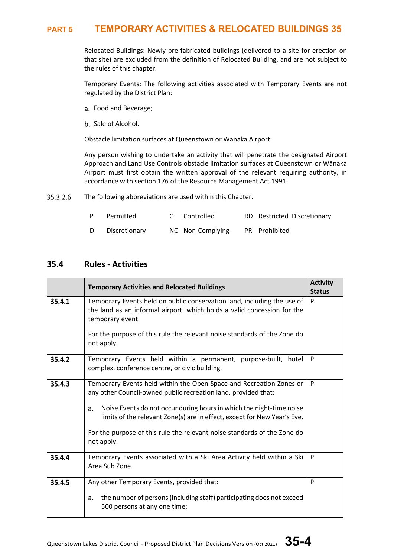Relocated Buildings: Newly pre-fabricated buildings (delivered to a site for erection on that site) are excluded from the definition of Relocated Building, and are not subject to the rules of this chapter.

Temporary Events: The following activities associated with Temporary Events are not regulated by the District Plan:

- Food and Beverage;
- b. Sale of Alcohol.

Obstacle limitation surfaces at Queenstown or Wānaka Airport:

Any person wishing to undertake an activity that will penetrate the designated Airport Approach and Land Use Controls obstacle limitation surfaces at Queenstown or Wānaka Airport must first obtain the written approval of the relevant requiring authority, in accordance with section 176 of the Resource Management Act 1991.

35.3.2.6 The following abbreviations are used within this Chapter.

| P. | Permitted     | C Controlled     | RD Restricted Discretionary |
|----|---------------|------------------|-----------------------------|
| D  | Discretionary | NC Non-Complying | PR Prohibited               |

### **35.4 Rules - Activities**

|        | <b>Temporary Activities and Relocated Buildings</b>                                                                                                                                                                                                                                                                                                                                       |   |  |  |  |  |  |
|--------|-------------------------------------------------------------------------------------------------------------------------------------------------------------------------------------------------------------------------------------------------------------------------------------------------------------------------------------------------------------------------------------------|---|--|--|--|--|--|
| 35.4.1 | Temporary Events held on public conservation land, including the use of<br>the land as an informal airport, which holds a valid concession for the<br>temporary event.<br>For the purpose of this rule the relevant noise standards of the Zone do<br>not apply.                                                                                                                          |   |  |  |  |  |  |
| 35.4.2 | Temporary Events held within a permanent, purpose-built, hotel<br>complex, conference centre, or civic building.                                                                                                                                                                                                                                                                          | P |  |  |  |  |  |
| 35.4.3 | Temporary Events held within the Open Space and Recreation Zones or<br>any other Council-owned public recreation land, provided that:<br>Noise Events do not occur during hours in which the night-time noise<br>a.<br>limits of the relevant Zone(s) are in effect, except for New Year's Eve.<br>For the purpose of this rule the relevant noise standards of the Zone do<br>not apply. | P |  |  |  |  |  |
| 35.4.4 | Temporary Events associated with a Ski Area Activity held within a Ski<br>Area Sub Zone.                                                                                                                                                                                                                                                                                                  | P |  |  |  |  |  |
| 35.4.5 | Any other Temporary Events, provided that:<br>the number of persons (including staff) participating does not exceed<br>a.<br>500 persons at any one time;                                                                                                                                                                                                                                 | P |  |  |  |  |  |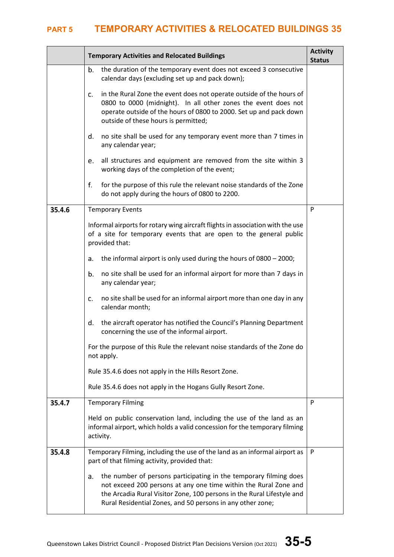|        | <b>Activity</b><br><b>Temporary Activities and Relocated Buildings</b>                                                                                                                                                                                                              |   |  |  |  |  |  |
|--------|-------------------------------------------------------------------------------------------------------------------------------------------------------------------------------------------------------------------------------------------------------------------------------------|---|--|--|--|--|--|
|        | the duration of the temporary event does not exceed 3 consecutive<br>b.<br>calendar days (excluding set up and pack down);                                                                                                                                                          |   |  |  |  |  |  |
|        | in the Rural Zone the event does not operate outside of the hours of<br>c.<br>0800 to 0000 (midnight). In all other zones the event does not<br>operate outside of the hours of 0800 to 2000. Set up and pack down<br>outside of these hours is permitted;                          |   |  |  |  |  |  |
|        | d.<br>no site shall be used for any temporary event more than 7 times in<br>any calendar year;                                                                                                                                                                                      |   |  |  |  |  |  |
|        | all structures and equipment are removed from the site within 3<br>e.<br>working days of the completion of the event;                                                                                                                                                               |   |  |  |  |  |  |
|        | for the purpose of this rule the relevant noise standards of the Zone<br>f.<br>do not apply during the hours of 0800 to 2200.                                                                                                                                                       |   |  |  |  |  |  |
| 35.4.6 | <b>Temporary Events</b>                                                                                                                                                                                                                                                             | P |  |  |  |  |  |
|        | Informal airports for rotary wing aircraft flights in association with the use<br>of a site for temporary events that are open to the general public<br>provided that:                                                                                                              |   |  |  |  |  |  |
|        | the informal airport is only used during the hours of 0800 - 2000;<br>a.                                                                                                                                                                                                            |   |  |  |  |  |  |
|        | no site shall be used for an informal airport for more than 7 days in<br>b.<br>any calendar year;                                                                                                                                                                                   |   |  |  |  |  |  |
|        | no site shall be used for an informal airport more than one day in any<br>c.<br>calendar month;                                                                                                                                                                                     |   |  |  |  |  |  |
|        | the aircraft operator has notified the Council's Planning Department<br>d.<br>concerning the use of the informal airport.                                                                                                                                                           |   |  |  |  |  |  |
|        | For the purpose of this Rule the relevant noise standards of the Zone do<br>not apply.                                                                                                                                                                                              |   |  |  |  |  |  |
|        | Rule 35.4.6 does not apply in the Hills Resort Zone.                                                                                                                                                                                                                                |   |  |  |  |  |  |
|        | Rule 35.4.6 does not apply in the Hogans Gully Resort Zone.                                                                                                                                                                                                                         |   |  |  |  |  |  |
| 35.4.7 | <b>Temporary Filming</b>                                                                                                                                                                                                                                                            | P |  |  |  |  |  |
|        | Held on public conservation land, including the use of the land as an<br>informal airport, which holds a valid concession for the temporary filming<br>activity.                                                                                                                    |   |  |  |  |  |  |
| 35.4.8 | Temporary Filming, including the use of the land as an informal airport as<br>part of that filming activity, provided that:                                                                                                                                                         |   |  |  |  |  |  |
|        | the number of persons participating in the temporary filming does<br>a.<br>not exceed 200 persons at any one time within the Rural Zone and<br>the Arcadia Rural Visitor Zone, 100 persons in the Rural Lifestyle and<br>Rural Residential Zones, and 50 persons in any other zone; |   |  |  |  |  |  |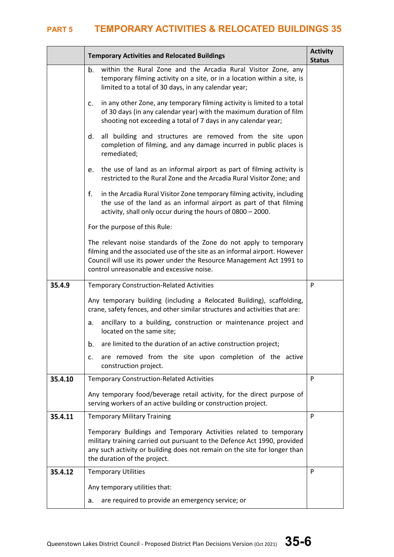|         | <b>Temporary Activities and Relocated Buildings</b>                                                                                                                                                                                                                   |   |  |  |  |  |  |
|---------|-----------------------------------------------------------------------------------------------------------------------------------------------------------------------------------------------------------------------------------------------------------------------|---|--|--|--|--|--|
|         | within the Rural Zone and the Arcadia Rural Visitor Zone, any<br>b.<br>temporary filming activity on a site, or in a location within a site, is<br>limited to a total of 30 days, in any calendar year;                                                               |   |  |  |  |  |  |
|         | in any other Zone, any temporary filming activity is limited to a total<br>c.<br>of 30 days (in any calendar year) with the maximum duration of film<br>shooting not exceeding a total of 7 days in any calendar year;                                                |   |  |  |  |  |  |
|         | d.<br>all building and structures are removed from the site upon<br>completion of filming, and any damage incurred in public places is<br>remediated;                                                                                                                 |   |  |  |  |  |  |
|         | the use of land as an informal airport as part of filming activity is<br>e.<br>restricted to the Rural Zone and the Arcadia Rural Visitor Zone; and                                                                                                                   |   |  |  |  |  |  |
|         | f.<br>in the Arcadia Rural Visitor Zone temporary filming activity, including<br>the use of the land as an informal airport as part of that filming<br>activity, shall only occur during the hours of 0800 - 2000.                                                    |   |  |  |  |  |  |
|         | For the purpose of this Rule:                                                                                                                                                                                                                                         |   |  |  |  |  |  |
|         | The relevant noise standards of the Zone do not apply to temporary<br>filming and the associated use of the site as an informal airport. However<br>Council will use its power under the Resource Management Act 1991 to<br>control unreasonable and excessive noise. |   |  |  |  |  |  |
| 35.4.9  | <b>Temporary Construction-Related Activities</b>                                                                                                                                                                                                                      |   |  |  |  |  |  |
|         | Any temporary building (including a Relocated Building), scaffolding,<br>crane, safety fences, and other similar structures and activities that are:                                                                                                                  |   |  |  |  |  |  |
|         | ancillary to a building, construction or maintenance project and<br>a.<br>located on the same site;                                                                                                                                                                   |   |  |  |  |  |  |
|         | are limited to the duration of an active construction project;<br>b.                                                                                                                                                                                                  |   |  |  |  |  |  |
|         | are removed from the site upon completion of the active<br>c.<br>construction project.                                                                                                                                                                                |   |  |  |  |  |  |
| 35.4.10 | <b>Temporary Construction-Related Activities</b>                                                                                                                                                                                                                      | P |  |  |  |  |  |
|         | Any temporary food/beverage retail activity, for the direct purpose of<br>serving workers of an active building or construction project.                                                                                                                              |   |  |  |  |  |  |
| 35.4.11 | <b>Temporary Military Training</b>                                                                                                                                                                                                                                    | P |  |  |  |  |  |
|         | Temporary Buildings and Temporary Activities related to temporary<br>military training carried out pursuant to the Defence Act 1990, provided<br>any such activity or building does not remain on the site for longer than<br>the duration of the project.            |   |  |  |  |  |  |
| 35.4.12 | <b>Temporary Utilities</b>                                                                                                                                                                                                                                            |   |  |  |  |  |  |
|         | Any temporary utilities that:                                                                                                                                                                                                                                         |   |  |  |  |  |  |
|         | are required to provide an emergency service; or<br>a.                                                                                                                                                                                                                |   |  |  |  |  |  |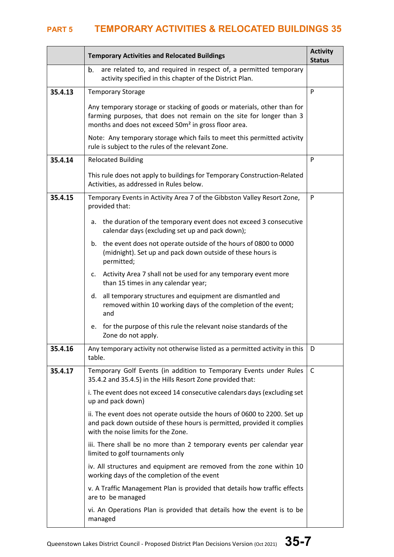|         | <b>Activity</b><br><b>Temporary Activities and Relocated Buildings</b><br><b>Status</b>                                                                                                                             |   |  |  |  |  |  |
|---------|---------------------------------------------------------------------------------------------------------------------------------------------------------------------------------------------------------------------|---|--|--|--|--|--|
|         | are related to, and required in respect of, a permitted temporary<br>b.<br>activity specified in this chapter of the District Plan.                                                                                 |   |  |  |  |  |  |
| 35.4.13 | P<br><b>Temporary Storage</b>                                                                                                                                                                                       |   |  |  |  |  |  |
|         | Any temporary storage or stacking of goods or materials, other than for<br>farming purposes, that does not remain on the site for longer than 3<br>months and does not exceed 50m <sup>2</sup> in gross floor area. |   |  |  |  |  |  |
|         | Note: Any temporary storage which fails to meet this permitted activity<br>rule is subject to the rules of the relevant Zone.                                                                                       |   |  |  |  |  |  |
| 35.4.14 | <b>Relocated Building</b>                                                                                                                                                                                           | P |  |  |  |  |  |
|         | This rule does not apply to buildings for Temporary Construction-Related<br>Activities, as addressed in Rules below.                                                                                                |   |  |  |  |  |  |
| 35.4.15 | Temporary Events in Activity Area 7 of the Gibbston Valley Resort Zone,<br>provided that:                                                                                                                           | P |  |  |  |  |  |
|         | the duration of the temporary event does not exceed 3 consecutive<br>а.<br>calendar days (excluding set up and pack down);                                                                                          |   |  |  |  |  |  |
|         | b. the event does not operate outside of the hours of 0800 to 0000<br>(midnight). Set up and pack down outside of these hours is<br>permitted;                                                                      |   |  |  |  |  |  |
|         | Activity Area 7 shall not be used for any temporary event more<br>c.<br>than 15 times in any calendar year;                                                                                                         |   |  |  |  |  |  |
|         | all temporary structures and equipment are dismantled and<br>d.<br>removed within 10 working days of the completion of the event;<br>and                                                                            |   |  |  |  |  |  |
|         | for the purpose of this rule the relevant noise standards of the<br>e.<br>Zone do not apply.                                                                                                                        |   |  |  |  |  |  |
| 35.4.16 | Any temporary activity not otherwise listed as a permitted activity in this<br>table.                                                                                                                               | D |  |  |  |  |  |
| 35.4.17 | Temporary Golf Events (in addition to Temporary Events under Rules<br>35.4.2 and 35.4.5) in the Hills Resort Zone provided that:                                                                                    |   |  |  |  |  |  |
|         | i. The event does not exceed 14 consecutive calendars days (excluding set<br>up and pack down)                                                                                                                      |   |  |  |  |  |  |
|         | ii. The event does not operate outside the hours of 0600 to 2200. Set up<br>and pack down outside of these hours is permitted, provided it complies<br>with the noise limits for the Zone.                          |   |  |  |  |  |  |
|         | iii. There shall be no more than 2 temporary events per calendar year<br>limited to golf tournaments only                                                                                                           |   |  |  |  |  |  |
|         | iv. All structures and equipment are removed from the zone within 10<br>working days of the completion of the event                                                                                                 |   |  |  |  |  |  |
|         | v. A Traffic Management Plan is provided that details how traffic effects<br>are to be managed                                                                                                                      |   |  |  |  |  |  |
|         | vi. An Operations Plan is provided that details how the event is to be<br>managed                                                                                                                                   |   |  |  |  |  |  |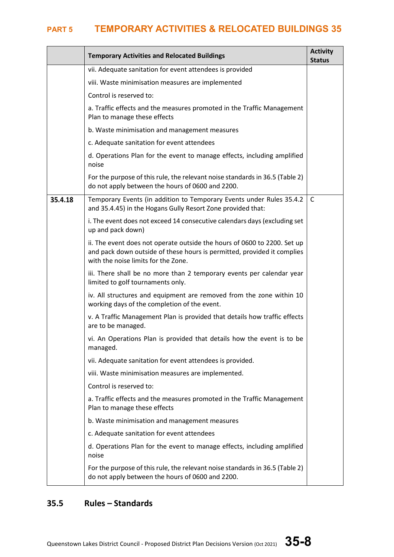|         | <b>Activity</b><br><b>Temporary Activities and Relocated Buildings</b><br><b>Status</b>                                                                                                    |              |  |  |  |  |
|---------|--------------------------------------------------------------------------------------------------------------------------------------------------------------------------------------------|--------------|--|--|--|--|
|         | vii. Adequate sanitation for event attendees is provided                                                                                                                                   |              |  |  |  |  |
|         | viii. Waste minimisation measures are implemented                                                                                                                                          |              |  |  |  |  |
|         | Control is reserved to:                                                                                                                                                                    |              |  |  |  |  |
|         | a. Traffic effects and the measures promoted in the Traffic Management<br>Plan to manage these effects                                                                                     |              |  |  |  |  |
|         | b. Waste minimisation and management measures                                                                                                                                              |              |  |  |  |  |
|         | c. Adequate sanitation for event attendees                                                                                                                                                 |              |  |  |  |  |
|         | d. Operations Plan for the event to manage effects, including amplified<br>noise                                                                                                           |              |  |  |  |  |
|         | For the purpose of this rule, the relevant noise standards in 36.5 (Table 2)<br>do not apply between the hours of 0600 and 2200.                                                           |              |  |  |  |  |
| 35.4.18 | Temporary Events (in addition to Temporary Events under Rules 35.4.2<br>and 35.4.45) in the Hogans Gully Resort Zone provided that:                                                        | <sub>c</sub> |  |  |  |  |
|         | i. The event does not exceed 14 consecutive calendars days (excluding set<br>up and pack down)                                                                                             |              |  |  |  |  |
|         | ii. The event does not operate outside the hours of 0600 to 2200. Set up<br>and pack down outside of these hours is permitted, provided it complies<br>with the noise limits for the Zone. |              |  |  |  |  |
|         | iii. There shall be no more than 2 temporary events per calendar year<br>limited to golf tournaments only.                                                                                 |              |  |  |  |  |
|         | iv. All structures and equipment are removed from the zone within 10<br>working days of the completion of the event.                                                                       |              |  |  |  |  |
|         | v. A Traffic Management Plan is provided that details how traffic effects<br>are to be managed.                                                                                            |              |  |  |  |  |
|         | vi. An Operations Plan is provided that details how the event is to be<br>managed.                                                                                                         |              |  |  |  |  |
|         | vii. Adequate sanitation for event attendees is provided.                                                                                                                                  |              |  |  |  |  |
|         | viii. Waste minimisation measures are implemented.                                                                                                                                         |              |  |  |  |  |
|         | Control is reserved to:                                                                                                                                                                    |              |  |  |  |  |
|         | a. Traffic effects and the measures promoted in the Traffic Management<br>Plan to manage these effects                                                                                     |              |  |  |  |  |
|         | b. Waste minimisation and management measures                                                                                                                                              |              |  |  |  |  |
|         | c. Adequate sanitation for event attendees                                                                                                                                                 |              |  |  |  |  |
|         | d. Operations Plan for the event to manage effects, including amplified<br>noise                                                                                                           |              |  |  |  |  |
|         | For the purpose of this rule, the relevant noise standards in 36.5 (Table 2)<br>do not apply between the hours of 0600 and 2200.                                                           |              |  |  |  |  |

# **35.5 Rules – Standards**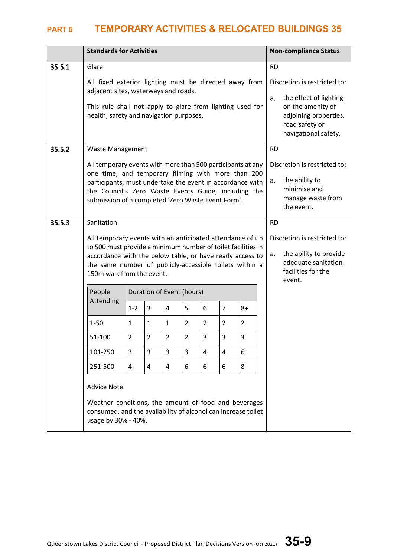|        | <b>Standards for Activities</b>                                                                                                              |                                                                                                                                                                                                                                                                               |              |                           |                |                |                |      |                                                                                                                      | <b>Non-compliance Status</b>                                                                                        |
|--------|----------------------------------------------------------------------------------------------------------------------------------------------|-------------------------------------------------------------------------------------------------------------------------------------------------------------------------------------------------------------------------------------------------------------------------------|--------------|---------------------------|----------------|----------------|----------------|------|----------------------------------------------------------------------------------------------------------------------|---------------------------------------------------------------------------------------------------------------------|
| 35.5.1 | Glare                                                                                                                                        |                                                                                                                                                                                                                                                                               |              |                           |                |                |                |      |                                                                                                                      | <b>RD</b>                                                                                                           |
|        |                                                                                                                                              | All fixed exterior lighting must be directed away from<br>adjacent sites, waterways and roads.                                                                                                                                                                                |              |                           |                |                |                |      |                                                                                                                      | Discretion is restricted to:                                                                                        |
|        |                                                                                                                                              | This rule shall not apply to glare from lighting used for<br>health, safety and navigation purposes.                                                                                                                                                                          |              |                           |                |                |                |      | the effect of lighting<br>a.<br>on the amenity of<br>adjoining properties,<br>road safety or<br>navigational safety. |                                                                                                                     |
| 35.5.2 | Waste Management                                                                                                                             |                                                                                                                                                                                                                                                                               |              |                           |                |                |                |      |                                                                                                                      | <b>RD</b>                                                                                                           |
|        | All temporary events with more than 500 participants at any                                                                                  |                                                                                                                                                                                                                                                                               |              |                           |                |                |                |      |                                                                                                                      | Discretion is restricted to:                                                                                        |
|        |                                                                                                                                              | one time, and temporary filming with more than 200<br>participants, must undertake the event in accordance with<br>the Council's Zero Waste Events Guide, including the<br>submission of a completed 'Zero Waste Event Form'.                                                 |              |                           |                |                |                |      |                                                                                                                      | the ability to<br>а.<br>minimise and<br>manage waste from<br>the event.                                             |
| 35.5.3 | Sanitation                                                                                                                                   |                                                                                                                                                                                                                                                                               |              |                           |                |                |                |      |                                                                                                                      | <b>RD</b>                                                                                                           |
|        |                                                                                                                                              | All temporary events with an anticipated attendance of up<br>to 500 must provide a minimum number of toilet facilities in<br>accordance with the below table, or have ready access to<br>the same number of publicly-accessible toilets within a<br>150m walk from the event. |              |                           |                |                |                |      |                                                                                                                      | Discretion is restricted to:<br>the ability to provide<br>a.<br>adequate sanitation<br>facilities for the<br>event. |
|        | People                                                                                                                                       |                                                                                                                                                                                                                                                                               |              | Duration of Event (hours) |                |                |                |      |                                                                                                                      |                                                                                                                     |
|        | Attending                                                                                                                                    | $1 - 2$                                                                                                                                                                                                                                                                       | 3            | 4                         | 5              | 6              | $\overline{7}$ | $8+$ |                                                                                                                      |                                                                                                                     |
|        | $1 - 50$                                                                                                                                     | $\mathbf{1}$                                                                                                                                                                                                                                                                  | $\mathbf{1}$ | $\mathbf{1}$              | $\overline{2}$ | $\overline{2}$ | $\overline{2}$ | 2    |                                                                                                                      |                                                                                                                     |
|        | $\overline{2}$<br>$\overline{2}$<br>$\overline{2}$<br>$\overline{2}$<br>3<br>3<br>51-100<br>3                                                |                                                                                                                                                                                                                                                                               |              |                           |                |                |                |      |                                                                                                                      |                                                                                                                     |
|        | 3<br>101-250<br>3<br>3<br>3<br>4<br>4<br>6                                                                                                   |                                                                                                                                                                                                                                                                               |              |                           |                |                |                |      |                                                                                                                      |                                                                                                                     |
|        | 6<br>8<br>251-500<br>4<br>4<br>4<br>6<br>6                                                                                                   |                                                                                                                                                                                                                                                                               |              |                           |                |                |                |      |                                                                                                                      |                                                                                                                     |
|        | <b>Advice Note</b>                                                                                                                           |                                                                                                                                                                                                                                                                               |              |                           |                |                |                |      |                                                                                                                      |                                                                                                                     |
|        | Weather conditions, the amount of food and beverages<br>consumed, and the availability of alcohol can increase toilet<br>usage by 30% - 40%. |                                                                                                                                                                                                                                                                               |              |                           |                |                |                |      |                                                                                                                      |                                                                                                                     |